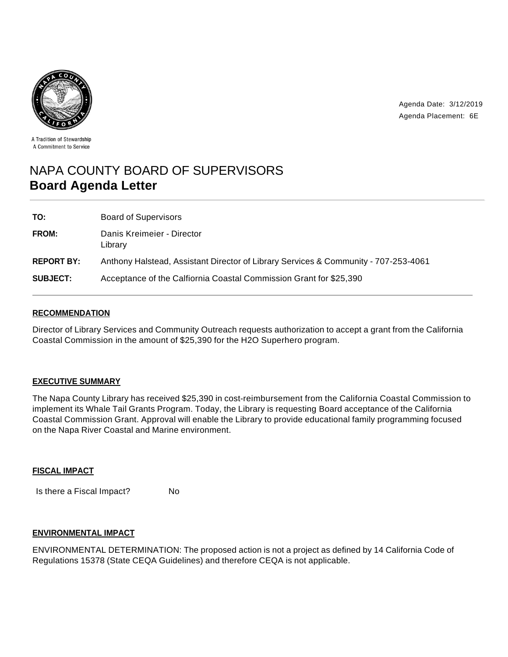

Agenda Date: 3/12/2019 Agenda Placement: 6E

A Tradition of Stewardship A Commitment to Service

# NAPA COUNTY BOARD OF SUPERVISORS **Board Agenda Letter**

| TO:               | <b>Board of Supervisors</b>                                                         |
|-------------------|-------------------------------------------------------------------------------------|
| FROM:             | Danis Kreimeier - Director<br>Library                                               |
| <b>REPORT BY:</b> | Anthony Halstead, Assistant Director of Library Services & Community - 707-253-4061 |
| <b>SUBJECT:</b>   | Acceptance of the Calfiornia Coastal Commission Grant for \$25,390                  |

## **RECOMMENDATION**

Director of Library Services and Community Outreach requests authorization to accept a grant from the California Coastal Commission in the amount of \$25,390 for the H2O Superhero program.

## **EXECUTIVE SUMMARY**

The Napa County Library has received \$25,390 in cost-reimbursement from the California Coastal Commission to implement its Whale Tail Grants Program. Today, the Library is requesting Board acceptance of the California Coastal Commission Grant. Approval will enable the Library to provide educational family programming focused on the Napa River Coastal and Marine environment.

#### **FISCAL IMPACT**

Is there a Fiscal Impact? No

#### **ENVIRONMENTAL IMPACT**

ENVIRONMENTAL DETERMINATION: The proposed action is not a project as defined by 14 California Code of Regulations 15378 (State CEQA Guidelines) and therefore CEQA is not applicable.